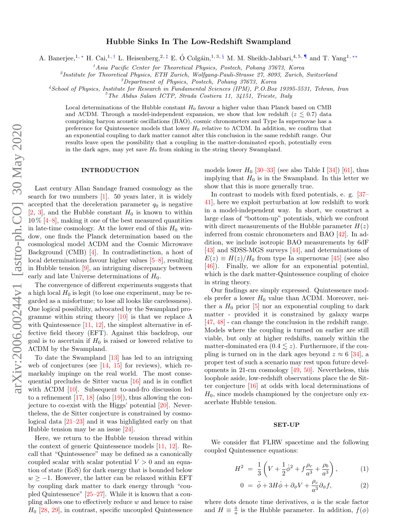# Hubble Sinks In The Low-Redshift Swampland

A. Banerjee,<sup>1, \*</sup> H. Cai,<sup>1,[†](#page-4-1)</sup> L. Heisenberg,<sup>2,[‡](#page-4-2)</sup> E. Ó Colgáin,<sup>1,3, [§](#page-4-3)</sup> M. M. Sheikh-Jabbari,<sup>4,5,</sup> I and T. Yang<sup>1,\*\*</sup>

<sup>1</sup> Asia Pacific Center for Theoretical Physics, Postech, Pohang  $37673$ , Korea

<sup>2</sup>Institute for Theoretical Physics, ETH Zurich, Wolfgang-Pauli-Strasse 27, 8093, Zurich, Switzerland

<sup>3</sup>Department of Physics, Postech, Pohang 37673, Korea

<sup>4</sup>School of Physics, Institute for Research in Fundamental Sciences (IPM), P.O.Box 19395-5531, Tehran, Iran

 ${}^{5}$ The Abdus Salam ICTP, Strada Costiera 11, 34151, Trieste, Italy

Local determinations of the Hubble constant  $H_0$  favour a higher value than Planck based on CMB and ΛCDM. Through a model-independent expansion, we show that low redshift ( $z \leq 0.7$ ) data comprising baryon acoustic oscillations (BAO), cosmic chronometers and Type Ia supernovae has a preference for Quintessence models that lower  $H_0$  relative to  $\Lambda$ CDM. In addition, we confirm that an exponential coupling to dark matter cannot alter this conclusion in the same redshift range. Our results leave open the possibility that a coupling in the matter-dominated epoch, potentially even in the dark ages, may yet save  $H_0$  from sinking in the string theory Swampland.

## INTRODUCTION

Last century Allan Sandage framed cosmology as the search for two numbers [\[1\]](#page-4-6). 50 years later, it is widely accepted that the deceleration parameter  $q_0$  is negative  $[2, 3]$  $[2, 3]$  $[2, 3]$ , and the Hubble constant  $H_0$  is known to within  $10\%$  [\[4–](#page-4-9)[8\]](#page-4-10), making it one of the best measured quantities in late-time cosmology. At the lower end of this  $H_0$  window, one finds the Planck determination based on the cosmological model ΛCDM and the Cosmic Microwave Background (CMB) [\[4\]](#page-4-9). In contradistinction, a host of local determinations favour higher values [\[5–](#page-4-11)[8\]](#page-4-10), resulting in Hubble tension [\[9\]](#page-4-12), an intriguing discrepancy between early and late Universe determinations of  $H_0$ .

The convergence of different experiments suggests that a high local  $H_0$  is legit (to lose one experiment, may be regarded as a misfortune; to lose all looks like carelessness). One logical possibility, advocated by the Swampland programme within string theory  $[10]$  is that we replace  $\Lambda$ with Quintessence  $[11, 12]$  $[11, 12]$  $[11, 12]$ , the simplest alternative in effective field theory (EFT). Against this backdrop, our goal is to ascertain if  $H_0$  is raised or lowered relative to ΛCDM by the Swampland.

To date the Swampland [\[13\]](#page-4-16) has led to an intriguing web of conjectures (see  $[14, 15]$  $[14, 15]$  $[14, 15]$  for reviews), which remarkably impinge on the real world. The most consequential precludes de Sitter vacua [\[16\]](#page-4-19) and is in conflict with  $\Lambda$ CDM [\[10\]](#page-4-13). Subsequent to-and-fro discussion led to a refinement  $[17, 18]$  $[17, 18]$  $[17, 18]$  (also  $[19]$ ), thus allowing the conjecture to co-exist with the Higgs' potential [\[20\]](#page-4-23). Nevertheless, the de Sitter conjecture is constrained by cosmological data [\[21–](#page-4-24)[23\]](#page-4-25) and it was highlighted early on that Hubble tension may be an issue [\[24\]](#page-4-26).

Here, we return to the Hubble tension thread within the context of generic Quintessence models [\[11,](#page-4-14) [12\]](#page-4-15). Recall that "Quintessence" may be defined as a canonically coupled scalar with scalar potential  $V > 0$  and an equation of state (EoS) for dark energy that is bounded below  $w \ge -1$ . However, the latter can be relaxed within EFT by coupling dark matter to dark energy through "coupled Quintessence" [\[25](#page-4-27)[–27\]](#page-4-28). While it is known that a coupling allows one to effectively reduce w and hence to raise  $H_0$  [\[28,](#page-4-29) [29\]](#page-4-30), in contrast, specific uncoupled Quintessence models lower  $H_0$  [\[30](#page-4-31)[–33\]](#page-4-32) (see also Table I [\[34\]](#page-4-33)) [\[61\]](#page-5-0), thus implying that  $H_0$  is in the Swampland. In this letter we show that this is more generally true.

In contrast to models with fixed potentials, e. g. [\[37–](#page-4-34) [41\]](#page-4-35), here we exploit perturbation at low redshift to work in a model-independent way. In short, we construct a large class of "bottom-up" potentials, which we confront with direct measurements of the Hubble parameter  $H(z)$ inferred from cosmic chronometers and BAO [\[42\]](#page-4-36). In addition, we include isotropic BAO measurements by 6dF [\[43\]](#page-4-37) and SDSS-MGS surveys [\[44\]](#page-4-38), and determinations of  $E(z) \equiv H(z)/H_0$  from type Ia supernovae [\[45\]](#page-4-39) (see also [\[46\]](#page-4-40)). Finally, we allow for an exponential potential, which is the dark matter-Quintessence coupling of choice in string theory.

Our findings are simply expressed. Quintessence models prefer a lower  $H_0$  value than  $\Lambda$ CDM. Moreover, neither a  $H_0$  prior [\[5\]](#page-4-11) nor an exponential coupling to dark matter - provided it is constrained by galaxy warps [\[47,](#page-4-41) [48\]](#page-4-42) - can change the conclusion in the redshift range. Models where the coupling is turned on earlier are still viable, but only at higher redshifts, namely within the matter-dominated era  $(0.4 \leq z)$ . Furthermore, if the coupling is turned on in the dark ages beyond  $z \approx 6$  [\[34\]](#page-4-33), a proper test of such a scenario may rest upon future developments in 21-cm cosmology [\[49,](#page-4-43) [50\]](#page-4-44). Nevertheless, this loophole aside, low-redshift observations place the de Sitter conjecture [\[16\]](#page-4-19) at odds with local determinations of  $H_0$ , since models championed by the conjecture only exacerbate Hubble tension.

## SET-UP

We consider flat FLRW spacetime and the following coupled Quintessence equations:

<span id="page-0-0"></span>
$$
H^{2} = \frac{1}{3} \left( V + \frac{1}{2} \dot{\phi}^{2} + f \frac{\rho_{c}}{a^{3}} + \frac{\rho_{b}}{a^{3}} \right), \qquad (1)
$$

$$
0 = \ddot{\phi} + 3H\dot{\phi} + \partial_{\phi}V + \frac{\rho_c}{a^3}\partial_{\phi}f, \tag{2}
$$

where dots denote time derivatives, a is the scale factor and  $H \equiv \frac{\dot{a}}{a}$  is the Hubble parameter. In addition,  $f(\phi)$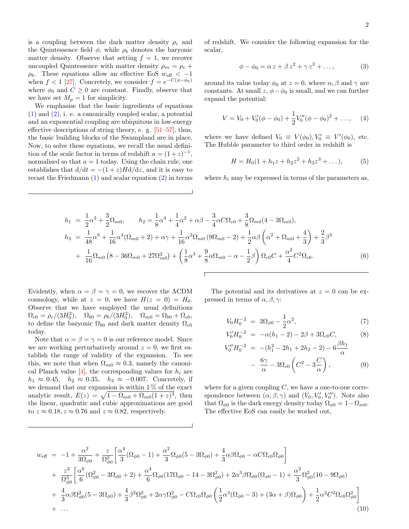is a coupling between the dark matter density  $\rho_c$  and the Quintessence field  $\phi$ , while  $\rho_b$  denotes the baryonic matter density. Observe that setting  $f = 1$ , we recover uncoupled Quintessence with matter density  $\rho_m = \rho_c +$  $\rho_b$ . These equations allow an effective EoS  $w_{\text{eff}} < -1$ when  $f < 1$  [\[27\]](#page-4-28). Concretely, we consider  $f = e^{-C(\phi - \phi_0)}$ where  $\phi_0$  and  $C \geq 0$  are constant. Finally, observe that we have set  $M_p = 1$  for simplicity.

We emphasise that the basic ingredients of equations [\(1\)](#page-0-0) and [\(2\)](#page-0-0), i. e. a canonically coupled scalar, a potential and an exponential coupling are ubiquitous in low-energy effective descriptions of string theory, e. g. [\[51](#page-4-45)[–57\]](#page-5-1), thus, the basic building blocks of the Swampland are in place. Now, to solve these equations, we recall the usual definition of the scale factor in terms of redshift  $a = (1+z)^{-1}$ , normalised so that  $a = 1$  today. Using the chain rule, one establishes that  $d/dt = -(1+z)Hd/dz$ , and it is easy to recast the Friedmann [\(1\)](#page-0-0) and scalar equation [\(2\)](#page-0-0) in terms of redshift. We consider the following expansion for the scalar,

$$
\phi - \phi_0 = \alpha z + \beta z^2 + \gamma z^3 + \dots,\tag{3}
$$

around its value today  $\phi_0$  at  $z = 0$ , where  $\alpha, \beta$  and  $\gamma$  are constants. At small  $z, \phi - \phi_0$  is small, and we can further expand the potential:

$$
V = V_0 + V'_0(\phi - \phi_0) + \frac{1}{2}V''_0(\phi - \phi_0)^2 + \dots, \quad (4)
$$

where we have defined  $V_0 \equiv V(\phi_0), V'_0 \equiv V'(\phi_0)$ , etc. The Hubble parameter to third order in redshift is

$$
H = H_0(1 + h_1 z + h_2 z^2 + h_3 z^3 + \dots), \tag{5}
$$

where  $h_i$  may be expressed in terms of the parameters as,

<span id="page-1-0"></span>
$$
h_1 = \frac{1}{2}\alpha^2 + \frac{3}{2}\Omega_{m0}, \qquad h_2 = \frac{1}{8}\alpha^4 + \frac{1}{4}\alpha^2 + \alpha\beta - \frac{3}{4}\alpha C\Omega_{c0} + \frac{3}{8}\Omega_{m0}(4 - 3\Omega_{m0}),
$$
  
\n
$$
h_3 = \frac{1}{48}\alpha^6 + \frac{1}{16}\alpha^4(\Omega_{m0} + 2) + \alpha\gamma + \frac{1}{16}\alpha^2\Omega_{m0}(9\Omega_{m0} - 2) + \frac{1}{2}\alpha\beta\left(\alpha^2 + \Omega_{m0} + \frac{4}{3}\right) + \frac{2}{3}\beta^2
$$
  
\n
$$
+ \frac{1}{16}\Omega_{m0}(8 - 36\Omega_{m0} + 27\Omega_{m0}^2) + \left(\frac{1}{8}\alpha^3 + \frac{9}{8}\alpha\Omega_{m0} - \alpha - \frac{1}{2}\beta\right)\Omega_{c0}C + \frac{\alpha^2}{4}C^2\Omega_{c0}.
$$
  
\n(6)

 $\sqrt{ }$ 

Evidently, when  $\alpha = \beta = \gamma = 0$ , we recover the  $\Lambda$ CDM cosmology, while at  $z = 0$ , we have  $H(z = 0) = H_0$ . Observe that we have employed the usual definitions  $\Omega_{c0} = \rho_c/(3H_0^2), \quad \Omega_{b0} = \rho_b/(3H_0^2), \quad \Omega_{m0} = \Omega_{b0} + \Omega_{c0},$ to define the baryonic  $\Omega_{b0}$  and dark matter density  $\Omega_{c0}$ today.

Note that  $\alpha = \beta = \gamma = 0$  is our reference model. Since we are working perturbatively around  $z = 0$ , we first establish the range of validity of the expansion. To see this, we note that when  $\Omega_{m0} \approx 0.3$ , namely the canonical Planck value  $[4]$ , the corresponding values for  $h_i$  are  $h_1 \approx 0.45$ ,  $h_2 \approx 0.35$ ,  $h_3 \approx -0.007$ . Concretely, if we demand that our expansion is within  $1\%$  of the exact analytic result,  $E(z) = \sqrt{1 - \Omega_{m0} + \Omega_{m0}(1 + z)^3}$ , then the linear, quadratic and cubic approximations are good to  $z \approx 0.18$ ,  $z \approx 0.76$  and  $z \approx 0.82$ , respectively.

The potential and its derivatives at  $z = 0$  can be expressed in terms of  $\alpha$ ,  $\beta$ ,  $\gamma$ :

$$
V_0 H_0^{-2} = 3\Omega_{\phi 0} - \frac{1}{2}\alpha^2, \tag{7}
$$

$$
V_0'H_0^{-2} = -\alpha(h_1 - 2) - 2\beta + 3\Omega_{c0}C, \tag{8}
$$

$$
V''_0 H_0^{-2} = -(h_1^2 - 2h_1 + 2h_2 - 2) - 6\frac{\rho h_1}{\alpha}
$$

$$
- \frac{6\gamma}{\alpha} - 3\Omega_{c0} \left(C^2 - 3\frac{C}{\alpha}\right), \tag{9}
$$

where for a given coupling  $C$ , we have a one-to-one correspondence between  $(\alpha, \beta, \gamma)$  and  $(V_0, V'_0, V''_0)$ . Note also that  $\Omega_{\phi 0}$  is the dark energy density today  $\Omega_{\phi 0} = 1 - \Omega_{m0}$ . The effective EoS can easily be worked out,

$$
w_{\text{eff}} = -1 + \frac{\alpha^2}{3\Omega_{\phi 0}} + \frac{z}{\Omega_{\phi 0}^2} \left[ \frac{\alpha^4}{3} (\Omega_{\phi 0} - 1) + \frac{\alpha^2}{3} \Omega_{\phi 0} (5 - 3\Omega_{\phi 0}) + \frac{4}{3} \alpha \beta \Omega_{\phi 0} - \alpha C \Omega_{c0} \Omega_{\phi 0} \right] + \frac{z^2}{\Omega_{\phi 0}^3} \left[ \frac{\alpha^6}{6} (\Omega_{\phi 0}^2 - 3\Omega_{\phi 0} + 2) + \frac{\alpha^4}{6} \Omega_{\phi 0} (17 \Omega_{\phi 0} - 14 - 3\Omega_{\phi 0}^2) + 2\alpha^3 \beta \Omega_{\phi 0} (\Omega_{\phi 0} - 1) + \frac{\alpha^2}{3} \Omega_{\phi 0}^2 (10 - 9\Omega_{\phi 0}) \right] + \frac{4}{3} \alpha \beta \Omega_{\phi 0}^2 (5 - 3\Omega_{\phi 0}) + \frac{4}{3} \beta^2 \Omega_{\phi 0}^2 + 2\alpha \gamma \Omega_{\phi 0}^2 - C \Omega_{c0} \Omega_{\phi 0} \left( \frac{1}{2} \alpha^3 (\Omega_{\phi 0} - 3) + (3\alpha + \beta) \Omega_{\phi 0} \right) + \frac{1}{2} \alpha^2 C^2 \Omega_{c0} \Omega_{\phi 0}^2 \right] + \cdots
$$
\n(10)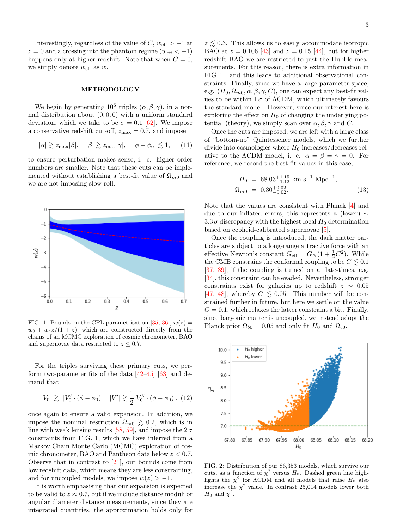Interestingly, regardless of the value of  $C, w_{\text{eff}} > -1$  at  $z = 0$  and a crossing into the phantom regime  $(w_{\text{eff}} < -1)$ happens only at higher redshift. Note that when  $C = 0$ , we simply denote  $w_{\text{eff}}$  as  $w$ .

## METHODOLOGY

We begin by generating  $10^6$  triples  $(\alpha, \beta, \gamma)$ , in a normal distribution about  $(0, 0, 0)$  with a uniform standard deviation, which we take to be  $\sigma = 0.1$  [\[62\]](#page-5-2). We impose a conservative redshift cut-off,  $z_{\text{max}} = 0.7$ , and impose

$$
|\alpha| \gtrsim z_{\text{max}}|\beta|, \quad |\beta| \gtrsim z_{\text{max}}|\gamma|, \quad |\phi - \phi_0| \lesssim 1, \quad (11)
$$

to ensure perturbation makes sense, i. e. higher order numbers are smaller. Note that these cuts can be implemented without establishing a best-fit value of  $\Omega_{m0}$  and we are not imposing slow-roll.



FIG. 1: Bounds on the CPL parametrisation [\[35,](#page-4-46) [36\]](#page-4-47),  $w(z) =$  $w_0 + w_a z/(1+z)$ , which are constructed directly from the chains of an MCMC exploration of cosmic chronometer, BAO and supernovae data restricted to  $z \leq 0.7$ .

For the triples surviving these primary cuts, we perform two-parameter fits of the data  $[42-45]$  $[42-45]$  [\[63\]](#page-5-3) and demand that

$$
V_0 \geq |V_0' \cdot (\phi - \phi_0)| \quad |V'| \gtrsim \frac{1}{2}|V_0'' \cdot (\phi - \phi_0)|, \tag{12}
$$

once again to ensure a valid expansion. In addition, we impose the nominal restriction  $\Omega_{m0} \gtrsim 0.2$ , which is in line with weak lensing results [\[58,](#page-5-4) [59\]](#page-5-5), and impose the  $2\sigma$ constraints from FIG. 1, which we have inferred from a Markov Chain Monte Carlo (MCMC) exploration of cosmic chronometer, BAO and Pantheon data below  $z < 0.7$ . Observe that in contrast to [\[21\]](#page-4-24), our bounds come from low redshift data, which means they are less constraining, and for uncoupled models, we impose  $w(z) > -1$ .

It is worth emphasising that our expansion is expected to be valid to  $z \approx 0.7$ , but if we include distance moduli or angular diameter distance measurements, since they are integrated quantities, the approximation holds only for  $z \leq 0.3$ . This allows us to easily accommodate isotropic BAO at  $z = 0.106$  [\[43\]](#page-4-37) and  $z = 0.15$  [\[44\]](#page-4-38), but for higher redshift BAO we are restricted to just the Hubble measurements. For this reason, there is extra information in FIG 1. and this leads to additional observational constraints. Finally, since we have a large parameter space, e.g.  $(H_0, \Omega_{m0}, \alpha, \beta, \gamma, C)$ , one can expect any best-fit values to be within  $1\sigma$  of ACDM, which ultimately favours the standard model. However, since our interest here is exploring the effect on  $H_0$  of changing the underlying potential (theory), we simply scan over  $\alpha, \beta, \gamma$  and C.

Once the cuts are imposed, we are left with a large class of "bottom-up" Quintessence models, which we further divide into cosmologies where  $H_0$  increases/decreases relative to the ACDM model, i. e.  $\alpha = \beta = \gamma = 0$ . For reference, we record the best-fit values in this case,

$$
H_0 = 68.03_{-1.12}^{+1.15} \text{ km s}^{-1} \text{ Mpc}^{-1},
$$
  
\n
$$
\Omega_{m0} = 0.30_{-0.02}^{+0.02}.
$$
\n(13)

Note that the values are consistent with Planck [\[4\]](#page-4-9) and due to our inflated errors, this represents a (lower)  $\sim$  $3.3\,\sigma$  discrepancy with the highest local  $H_0$  determination based on cepheid-calibrated supernovae [\[5\]](#page-4-11).

Once the coupling is introduced, the dark matter particles are subject to a long-range attractive force with an effective Newton's constant  $G_{\text{eff}} = G_N(1 + \frac{1}{2}C^2)$ . While the CMB constrains the conformal coupling to be  $C \leq 0.1$ [\[37,](#page-4-34) [39\]](#page-4-48), if the coupling is turned on at late-times, e.g. [\[34\]](#page-4-33), this constraint can be evaded. Nevertheless, stronger constraints exist for galaxies up to redshift  $z \sim 0.05$ [\[47,](#page-4-41) [48\]](#page-4-42), whereby  $C \leq 0.05$ . This number will be constrained further in future, but here we settle on the value  $C = 0.1$ , which relaxes the latter constraint a bit. Finally, since baryonic matter is uncoupled, we instead adopt the Planck prior  $\Omega_{b0} = 0.05$  and only fit  $H_0$  and  $\Omega_{c0}$ .



FIG. 2: Distribution of our 86,353 models, which survive our cuts, as a function of  $\chi^2$  versus  $H_0$ . Dashed green line highlights the  $\chi^2$  for  $\Lambda$ CDM and all models that raise  $H_0$  also increase the  $\chi^2$  value. In contrast 25,014 models lower both  $H_0$  and  $\chi^2$ .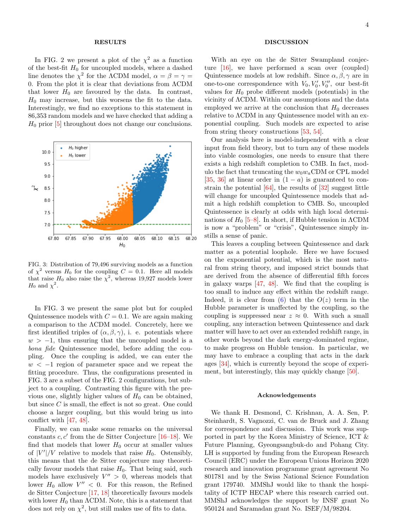## RESULTS

In FIG. 2 we present a plot of the  $\chi^2$  as a function of the best-fit  $H_0$  for uncoupled models, where a dashed line denotes the  $\chi^2$  for the ACDM model,  $\alpha = \beta = \gamma =$ 0. From the plot it is clear that deviations from ΛCDM that lower  $H_0$  are favoured by the data. In contrast,  $H_0$  may increase, but this worsens the fit to the data. Interestingly, we find no exceptions to this statement in 86,353 random models and we have checked that adding a  $H_0$  prior  $[5]$  throughout does not change our conclusions.



FIG. 3: Distribution of 79,496 surviving models as a function of  $\chi^2$  versus  $H_0$  for the coupling  $C = 0.1$ . Here all models that raise  $H_0$  also raise the  $\chi^2$ , whereas 19,927 models lower  $H_0$  and  $\chi^2$ .

In FIG. 3 we present the same plot but for coupled Quintessence models with  $C = 0.1$ . We are again making a comparison to the ΛCDM model. Concretely, here we first identified triples of  $(\alpha, \beta, \gamma)$ , i. e. potentials where  $w > -1$ , thus ensuring that the uncoupled model is a bona fide Quintessence model, before adding the coupling. Once the coupling is added, we can enter the  $w < -1$  region of parameter space and we repeat the fitting procedure. Thus, the configurations presented in FIG. 3 are a subset of the FIG. 2 configurations, but subject to a coupling. Contrasting this figure with the previous one, slightly higher values of  $H_0$  can be obtained, but since  $C$  is small, the effect is not so great. One could choose a larger coupling, but this would bring us into conflict with [\[47,](#page-4-41) [48\]](#page-4-42).

Finally, we can make some remarks on the universal constants  $c, c'$  from the de Sitter Conjecture [\[16–](#page-4-19)[18\]](#page-4-21). We find that models that lower  $H_0$  occur at smaller values of  $|V'|/V$  relative to models that raise  $H_0$ . Ostensibly, this means that the de Sitter conjecture may theoretically favour models that raise  $H_0$ . That being said, such models have exclusively  $V'' > 0$ , whereas models that lower  $H_0$  allow  $V'' < 0$ . For this reason, the Refined de Sitter Conjecture [\[17,](#page-4-20) [18\]](#page-4-21) theoretically favours models with lower  $H_0$  than  $\Lambda$ CDM. Note, this is a statement that does not rely on  $\chi^2$ , but still makes use of fits to data.

## DISCUSSION

With an eye on the de Sitter Swampland conjecture [\[16\]](#page-4-19), we have performed a scan over (coupled) Quintessence models at low redshift. Since  $\alpha$ ,  $\beta$ ,  $\gamma$  are in one-to-one correspondence with  $V_0, V'_0, V''_0$ , our best-fit values for  $H_0$  probe different models (potentials) in the vicinity of ΛCDM. Within our assumptions and the data employed we arrive at the conclusion that  $H_0$  decreases relative to ΛCDM in any Quintessence model with an exponential coupling. Such models are expected to arise from string theory constructions [\[53,](#page-4-49) [54\]](#page-4-50).

Our analysis here is model-independent with a clear input from field theory, but to turn any of these models into viable cosmologies, one needs to ensure that there exists a high redshift completion to CMB. In fact, modulo the fact that truncating the  $w_0w_a$ CDM or CPL model [\[35,](#page-4-46) [36\]](#page-4-47) at linear order in  $(1 - a)$  is guaranteed to constrain the potential  $[64]$ , the results of  $[32]$  suggest little will change for uncoupled Quintessence models that admit a high redshift completion to CMB. So, uncoupled Quintessence is clearly at odds with high local determinations of  $H_0$  [\[5–](#page-4-11)[8\]](#page-4-10). In short, if Hubble tension in  $\Lambda$ CDM is now a "problem" or "crisis", Quintessence simply instills a sense of panic.

This leaves a coupling between Quintessence and dark matter as a potential loophole. Here we have focused on the exponential potential, which is the most natural from string theory, and imposed strict bounds that are derived from the absence of differential fifth forces in galaxy warps [\[47,](#page-4-41) [48\]](#page-4-42). We find that the coupling is too small to induce any effect within the redshift range. Indeed, it is clear from  $(6)$  that the  $O(z)$  term in the Hubble parameter is unaffected by the coupling, so the coupling is suppressed near  $z \approx 0$ . With such a small coupling, any interaction between Quintessence and dark matter will have to act over an extended redshift range, in other words beyond the dark energy-dominated regime, to make progress on Hubble tension. In particular, we may have to embrace a coupling that acts in the dark ages [\[34\]](#page-4-33), which is currently beyond the scope of experiment, but interestingly, this may quickly change [\[50\]](#page-4-44).

### Acknowledgements

We thank H. Desmond, C. Krishnan, A. A. Sen, P. Steinhardt, S. Vagnozzi, C. van de Bruck and J. Zhang for correspondence and discussion. This work was supported in part by the Korea Ministry of Science, ICT & Future Planning, Gyeongsangbuk-do and Pohang City. LH is supported by funding from the European Research Council (ERC) under the European Unions Horizon 2020 research and innovation programme grant agreement No 801781 and by the Swiss National Science Foundation grant 179740. MMShJ would like to thank the hospitality of ICTP HECAP where this research carried out. MMShJ acknowledges the support by INSF grant No 950124 and Saramadan grant No. ISEF/M/98204.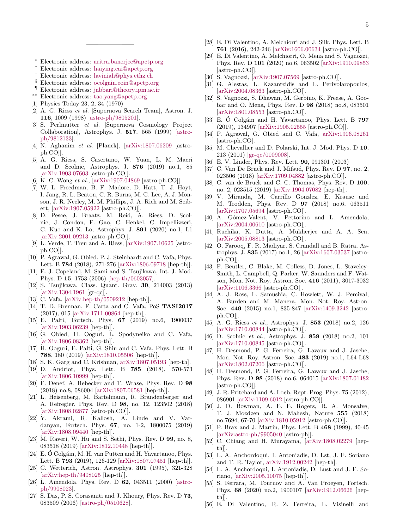- <span id="page-4-0"></span><sup>∗</sup> Electronic address: [aritra.banerjee@apctp.org](mailto:aritra.banerjee@apctp.org)
- <span id="page-4-1"></span>† Electronic address: [haiying.cai@apctp.org](mailto:haiying.cai@apctp.org )
- <span id="page-4-2"></span>‡ Electronic address: [laviniah@phys.ethz.ch](mailto:laviniah@phys.ethz.ch)
- <span id="page-4-3"></span>§ Electronic address: [ocolgain.eoin@apctp.org](mailto:ocolgain.eoin@apctp.org)
- <span id="page-4-4"></span>¶ Electronic address: [jabbari@theory.ipm.ac.ir](mailto:jabbari@theory.ipm.ac.ir)
- <span id="page-4-5"></span>∗∗ Electronic address: [tao.yang@apctp.org](mailto:tao.yang@apctp.org)
- <span id="page-4-6"></span>[1] Physics Today 23, 2, 34 (1970)
- <span id="page-4-7"></span>[2] A. G. Riess et al. [Supernova Search Team], Astron. J. 116, 1009 (1998) [\[astro-ph/9805201\]](http://arxiv.org/abs/astro-ph/9805201).
- <span id="page-4-8"></span>[3] S. Perlmutter et al. [Supernova Cosmology Project Collaboration], Astrophys. J. 517, 565 (1999) [\[astro](http://arxiv.org/abs/astro-ph/9812133)[ph/9812133\]](http://arxiv.org/abs/astro-ph/9812133).
- <span id="page-4-9"></span>[4] N. Aghanim et al. [Planck], [\[arXiv:1807.06209](http://arxiv.org/abs/1807.06209) [astroph.CO]].
- <span id="page-4-11"></span>[5] A. G. Riess, S. Casertano, W. Yuan, L. M. Macri and D. Scolnic, Astrophys. J. 876 (2019) no.1, 85 [\[arXiv:1903.07603](http://arxiv.org/abs/1903.07603) [astro-ph.CO]].
- [6] K. C. Wong et al., [\[arXiv:1907.04869](http://arxiv.org/abs/1907.04869) [astro-ph.CO]].
- [7] W. L. Freedman, B. F. Madore, D. Hatt, T. J. Hoyt, I. Jang, R. L. Beaton, C. R. Burns, M. G. Lee, A. J. Monson, J. R. Neeley, M. M. Phillips, J. A. Rich and M. Seibert, [\[arXiv:1907.05922](http://arxiv.org/abs/1907.05922) [astro-ph.CO]].
- <span id="page-4-10"></span>[8] D. Pesce, J. Braatz, M. Reid, A. Riess, D. Scolnic, J. Condon, F. Gao, C. Henkel, C. Impellizzeri, C. Kuo and K. Lo, Astrophys. J. 891 (2020) no.1, L1 [\[arXiv:2001.09213](http://arxiv.org/abs/2001.09213) [astro-ph.CO]].
- <span id="page-4-12"></span>[9] L. Verde, T. Treu and A. Riess, [\[arXiv:1907.10625](http://arxiv.org/abs/1907.10625) [astroph.CO]].
- <span id="page-4-13"></span>[10] P. Agrawal, G. Obied, P. J. Steinhardt and C. Vafa, Phys. Lett. B 784 (2018), 271-276 [\[arXiv:1806.09718](http://arxiv.org/abs/1806.09718) [hep-th]].
- <span id="page-4-14"></span>[11] E. J. Copeland, M. Sami and S. Tsujikawa, Int. J. Mod. Phys. D 15, 1753 (2006) [\[hep-th/0603057\]](http://arxiv.org/abs/hep-th/0603057).
- <span id="page-4-15"></span>[12] S. Tsujikawa, Class. Quant. Grav. 30, 214003 (2013) [\[arXiv:1304.1961](http://arxiv.org/abs/1304.1961) [gr-qc]].
- <span id="page-4-16"></span>[13] C. Vafa, [\[arXiv:hep-th/0509212](http://arxiv.org/abs/hep-th/0509212) [hep-th]].
- <span id="page-4-17"></span>[14] T. D. Brennan, F. Carta and C. Vafa, PoS TASI2017 (2017), 015 [\[arXiv:1711.00864](http://arxiv.org/abs/1711.00864) [hep-th]].
- <span id="page-4-18"></span>[15] E. Palti, Fortsch. Phys. 67 (2019) no.6, 1900037 [\[arXiv:1903.06239](http://arxiv.org/abs/1903.06239) [hep-th]].
- <span id="page-4-19"></span>[16] G. Obied, H. Ooguri, L. Spodyneiko and C. Vafa, [\[arXiv:1806.08362](http://arxiv.org/abs/1806.08362) [hep-th]].
- <span id="page-4-20"></span>[17] H. Ooguri, E. Palti, G. Shiu and C. Vafa, Phys. Lett. B 788, 180 (2019) [\[arXiv:1810.05506](http://arxiv.org/abs/1810.05506) [hep-th]].
- <span id="page-4-21"></span>[18] S. K. Garg and C. Krishnan, [arXiv:1807.05193](http://arxiv.org/abs/1807.05193) [hep-th].
- <span id="page-4-22"></span>[19] D. Andriot, Phys. Lett. B 785 (2018), 570-573 [\[arXiv:1806.10999](http://arxiv.org/abs/1806.10999) [hep-th]].
- <span id="page-4-23"></span>[20] F. Denef, A. Hebecker and T. Wrase, Phys. Rev. D 98 (2018) no.8, 086004 [\[arXiv:1807.06581](http://arxiv.org/abs/1807.06581) [hep-th]].
- <span id="page-4-24"></span>[21] L. Heisenberg, M. Bartelmann, R. Brandenberger and A. Refregier, Phys. Rev. D 98, no. 12, 123502 (2018) [\[arXiv:1808.02877](http://arxiv.org/abs/1808.02877) [astro-ph.CO]].
- [22] Y. Akrami, R. Kallosh, A. Linde and V. Vardanyan, Fortsch. Phys. 67, no. 1-2, 1800075 (2019) [\[arXiv:1808.09440](http://arxiv.org/abs/1808.09440) [hep-th]].
- <span id="page-4-25"></span>[23] M. Raveri, W. Hu and S. Sethi, Phys. Rev. D 99, no. 8, 083518 (2019) [\[arXiv:1812.10448](http://arxiv.org/abs/1812.10448) [hep-th]].
- <span id="page-4-26"></span>[24] E. Ó Colgáin, M. H. van Putten and H. Yavartanoo, Phys. Lett. B 793 (2019), 126-129 [\[arXiv:1807.07451](http://arxiv.org/abs/1807.07451) [hep-th]].
- <span id="page-4-27"></span>[25] C. Wetterich, Astron. Astrophys. 301 (1995), 321-328 [\[arXiv:hep-th/9408025](http://arxiv.org/abs/hep-th/9408025) [hep-th]].
- [26] L. Amendola, Phys. Rev. D 62, 043511 (2000) [\[astro](http://arxiv.org/abs/astro-ph/9908023)[ph/9908023\]](http://arxiv.org/abs/astro-ph/9908023).
- <span id="page-4-28"></span>[27] S. Das, P. S. Corasaniti and J. Khoury, Phys. Rev. D 73, 083509 (2006) [\[astro-ph/0510628\]](http://arxiv.org/abs/astro-ph/0510628).
- <span id="page-4-29"></span>[28] E. Di Valentino, A. Melchiorri and J. Silk, Phys. Lett. B 761 (2016), 242-246 [\[arXiv:1606.00634](http://arxiv.org/abs/1606.00634) [astro-ph.CO]].
- <span id="page-4-30"></span>[29] E. Di Valentino, A. Melchiorri, O. Mena and S. Vagnozzi, Phys. Rev. D 101 (2020) no.6, 063502 [\[arXiv:1910.09853](http://arxiv.org/abs/1910.09853) [astro-ph.CO]].
- <span id="page-4-31"></span>[30] S. Vagnozzi, [\[arXiv:1907.07569](http://arxiv.org/abs/1907.07569) [astro-ph.CO]].
- [31] G. Alestas, L. Kazantzidis and L. Perivolaropoulos, [\[arXiv:2004.08363](http://arxiv.org/abs/2004.08363) [astro-ph.CO]].
- <span id="page-4-51"></span>[32] S. Vagnozzi, S. Dhawan, M. Gerbino, K. Freese, A. Goobar and O. Mena, Phys. Rev. D 98 (2018) no.8, 083501 [\[arXiv:1801.08553](http://arxiv.org/abs/1801.08553) [astro-ph.CO]].
- <span id="page-4-32"></span>[33] E. Ó Colgáin and H. Yavartanoo, Phys. Lett. B  $797$ (2019), 134907 [\[arXiv:1905.02555](http://arxiv.org/abs/1905.02555) [astro-ph.CO]].
- <span id="page-4-33"></span>[34] P. Agrawal, G. Obied and C. Vafa, [arXiv:1906.08261](http://arxiv.org/abs/1906.08261) [astro-ph.CO].
- <span id="page-4-46"></span>[35] M. Chevallier and D. Polarski, Int. J. Mod. Phys. D 10, 213 (2001) [\[gr-qc/0009008\]](http://arxiv.org/abs/gr-qc/0009008).
- <span id="page-4-47"></span>[36] E. V. Linder, Phys. Rev. Lett. 90, 091301 (2003)
- <span id="page-4-34"></span>[37] C. Van De Bruck and J. Mifsud, Phys. Rev. D **97**, no. 2, 023506 (2018) [\[arXiv:1709.04882](http://arxiv.org/abs/1709.04882) [astro-ph.CO]].
- [38] C. van de Bruck and C. C. Thomas, Phys. Rev. D 100, no. 2, 023515 (2019) [\[arXiv:1904.07082](http://arxiv.org/abs/1904.07082) [hep-th]].
- <span id="page-4-48"></span>[39] V. Miranda, M. Carrillo Gonzlez, E. Krause and M. Trodden, Phys. Rev. D 97 (2018) no.6, 063511 [\[arXiv:1707.05694](http://arxiv.org/abs/1707.05694) [astro-ph.CO]].
- [40] A. Gómez-Valent, V. Pettorino and L. Amendola, [\[arXiv:2004.00610](http://arxiv.org/abs/2004.00610) [astro-ph.CO]].
- <span id="page-4-35"></span>[41] Ruchika, K. Dutta, A. Mukherjee and A. A. Sen, [\[arXiv:2005.08813](http://arxiv.org/abs/2005.08813) [astro-ph.CO]].
- <span id="page-4-36"></span>[42] O. Farooq, F. R. Madiyar, S. Crandall and B. Ratra, Astrophys. J. 835 (2017) no.1, 26 [\[arXiv:1607.03537](http://arxiv.org/abs/1607.03537) [astroph.CO]].
- <span id="page-4-37"></span>[43] F. Beutler, C. Blake, M. Colless, D. Jones, L. Staveley-Smith, L. Campbell, Q. Parker, W. Saunders and F. Watson, Mon. Not. Roy. Astron. Soc. 416 (2011), 3017-3032 [\[arXiv:1106.3366](http://arxiv.org/abs/1106.3366) [astro-ph.CO]].
- <span id="page-4-38"></span>[44] A. J. Ross, L. Samushia, C. Howlett, W. J. Percival, A. Burden and M. Manera, Mon. Not. Roy. Astron. Soc. 449 (2015) no.1, 835-847 [\[arXiv:1409.3242](http://arxiv.org/abs/1409.3242) [astroph.CO]].
- <span id="page-4-39"></span>[45] A. G. Riess et al., Astrophys. J. 853 (2018) no.2, 126 [\[arXiv:1710.00844](http://arxiv.org/abs/1710.00844) [astro-ph.CO]].
- <span id="page-4-40"></span>[46] D. Scolnic et al., Astrophys. J. 859 (2018) no.2, 101 [\[arXiv:1710.00845](http://arxiv.org/abs/1710.00845) [astro-ph.CO]].
- <span id="page-4-41"></span>[47] H. Desmond, P. G. Ferreira, G. Lavaux and J. Jasche, Mon. Not. Roy. Astron. Soc. 483 (2019) no.1, L64-L68 [\[arXiv:1802.07206](http://arxiv.org/abs/1802.07206) [astro-ph.CO]].
- <span id="page-4-42"></span>[48] H. Desmond, P. G. Ferreira, G. Lavaux and J. Jasche, Phys. Rev. D 98 (2018) no.6, 064015 [\[arXiv:1807.01482](http://arxiv.org/abs/1807.01482) [astro-ph.CO]].
- <span id="page-4-43"></span>[49] J. R. Pritchard and A. Loeb, Rept. Prog. Phys. **75** (2012), 086901 [\[arXiv:1109.6012](http://arxiv.org/abs/1109.6012) [astro-ph.CO]].
- <span id="page-4-44"></span>[50] J. D. Bowman, A. E. E. Rogers, R. A. Monsalve, T. J. Mozdzen and N. Mahesh, Nature 555 (2018) no.7694, 67-70 [\[arXiv:1810.05912](http://arxiv.org/abs/1810.05912) [astro-ph.CO]].
- <span id="page-4-45"></span>[51] P. Brax and J. Martin, Phys. Lett. B 468 (1999), 40-45 [\[arXiv:astro-ph/9905040](http://arxiv.org/abs/astro-ph/9905040) [astro-ph]].
- [52] C. Chiang and H. Murayama, [\[arXiv:1808.02279](http://arxiv.org/abs/1808.02279) [hepth]].
- <span id="page-4-49"></span>[53] L. A. Anchordoqui, I. Antoniadis, D. Lst, J. F. Soriano and T. R. Taylor, [arXiv:1912.00242](http://arxiv.org/abs/1912.00242) [hep-th].
- <span id="page-4-50"></span>[54] L. A. Anchordoqui, I. Antoniadis, D. Lust and J. F. Soriano, [\[arXiv:2005.10075](http://arxiv.org/abs/2005.10075) [hep-th]].
- [55] S. Ferrara, M. Tournoy and A. Van Proeyen, Fortsch. Phys. 68 (2020) no.2, 1900107 [\[arXiv:1912.06626](http://arxiv.org/abs/1912.06626) [hepth]].
- [56] E. Di Valentino, R. Z. Ferreira, L. Visinelli and